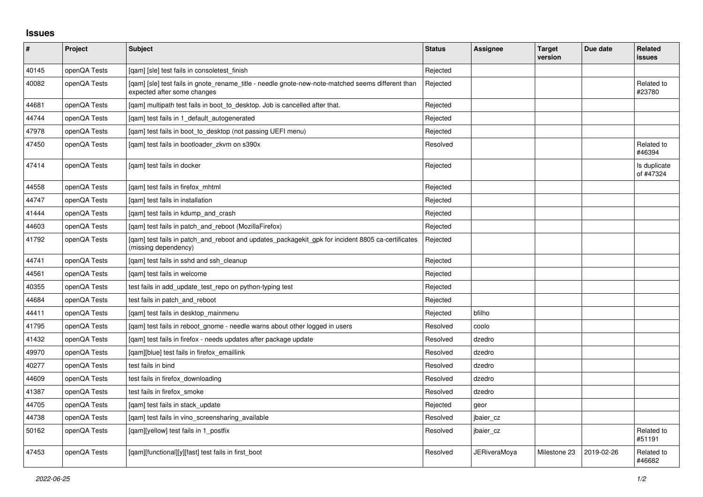## **Issues**

| $\sharp$ | Project      | Subject                                                                                                                          | <b>Status</b> | Assignee            | <b>Target</b><br>version | Due date   | <b>Related</b><br><b>issues</b> |
|----------|--------------|----------------------------------------------------------------------------------------------------------------------------------|---------------|---------------------|--------------------------|------------|---------------------------------|
| 40145    | openQA Tests | [gam] [sle] test fails in consoletest finish                                                                                     | Rejected      |                     |                          |            |                                 |
| 40082    | openQA Tests | [gam] [sle] test fails in gnote rename title - needle gnote-new-note-matched seems different than<br>expected after some changes | Rejected      |                     |                          |            | Related to<br>#23780            |
| 44681    | openQA Tests | [gam] multipath test fails in boot to desktop. Job is cancelled after that.                                                      | Rejected      |                     |                          |            |                                 |
| 44744    | openQA Tests | [gam] test fails in 1 default autogenerated                                                                                      | Rejected      |                     |                          |            |                                 |
| 47978    | openQA Tests | [qam] test fails in boot_to_desktop (not passing UEFI menu)                                                                      | Rejected      |                     |                          |            |                                 |
| 47450    | openQA Tests | [gam] test fails in bootloader zkvm on s390x                                                                                     | Resolved      |                     |                          |            | Related to<br>#46394            |
| 47414    | openQA Tests | [gam] test fails in docker                                                                                                       | Rejected      |                     |                          |            | Is duplicate<br>of #47324       |
| 44558    | openQA Tests | [qam] test fails in firefox_mhtml                                                                                                | Rejected      |                     |                          |            |                                 |
| 44747    | openQA Tests | [gam] test fails in installation                                                                                                 | Rejected      |                     |                          |            |                                 |
| 41444    | openQA Tests | [gam] test fails in kdump and crash                                                                                              | Rejected      |                     |                          |            |                                 |
| 44603    | openQA Tests | [gam] test fails in patch and reboot (MozillaFirefox)                                                                            | Rejected      |                     |                          |            |                                 |
| 41792    | openQA Tests | [gam] test fails in patch and reboot and updates packagekit gpk for incident 8805 ca-certificates<br>(missing dependency)        | Rejected      |                     |                          |            |                                 |
| 44741    | openQA Tests | [gam] test fails in sshd and ssh cleanup                                                                                         | Rejected      |                     |                          |            |                                 |
| 44561    | openQA Tests | [gam] test fails in welcome                                                                                                      | Rejected      |                     |                          |            |                                 |
| 40355    | openQA Tests | test fails in add update test repo on python-typing test                                                                         | Rejected      |                     |                          |            |                                 |
| 44684    | openQA Tests | test fails in patch and reboot                                                                                                   | Rejected      |                     |                          |            |                                 |
| 44411    | openQA Tests | [qam] test fails in desktop_mainmenu                                                                                             | Rejected      | bfilho              |                          |            |                                 |
| 41795    | openQA Tests | [gam] test fails in reboot gnome - needle warns about other logged in users                                                      | Resolved      | coolo               |                          |            |                                 |
| 41432    | openQA Tests | [qam] test fails in firefox - needs updates after package update                                                                 | Resolved      | dzedro              |                          |            |                                 |
| 49970    | openQA Tests | [qam][blue] test fails in firefox_emaillink                                                                                      | Resolved      | dzedro              |                          |            |                                 |
| 40277    | openQA Tests | test fails in bind                                                                                                               | Resolved      | dzedro              |                          |            |                                 |
| 44609    | openQA Tests | test fails in firefox downloading                                                                                                | Resolved      | dzedro              |                          |            |                                 |
| 41387    | openQA Tests | test fails in firefox_smoke                                                                                                      | Resolved      | dzedro              |                          |            |                                 |
| 44705    | openQA Tests | [gam] test fails in stack update                                                                                                 | Rejected      | geor                |                          |            |                                 |
| 44738    | openQA Tests | [gam] test fails in vino screensharing available                                                                                 | Resolved      | jbaier_cz           |                          |            |                                 |
| 50162    | openQA Tests | [qam][yellow] test fails in 1_postfix                                                                                            | Resolved      | jbaier_cz           |                          |            | Related to<br>#51191            |
| 47453    | openQA Tests | [gam][functional][y][fast] test fails in first boot                                                                              | Resolved      | <b>JERiveraMoya</b> | Milestone 23             | 2019-02-26 | Related to<br>#46682            |